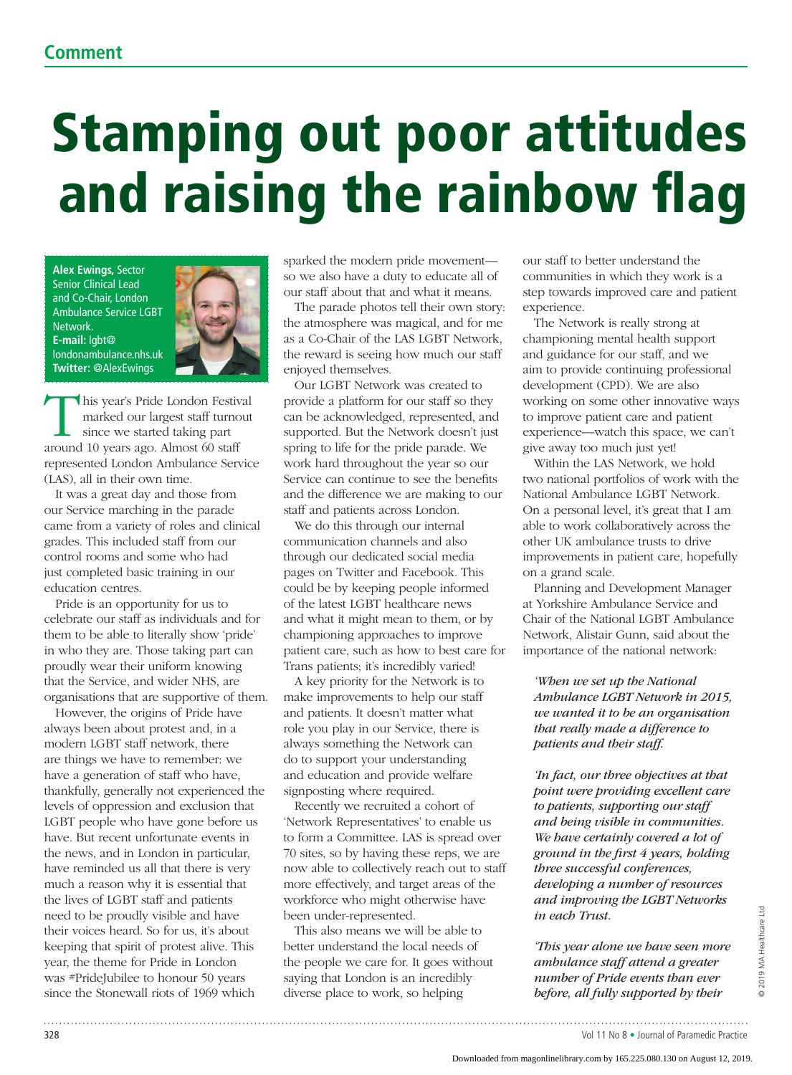## Stamping out poor attitudes and raising the rainbow flag

**Alex Ewings,** Sector Senior Clinical Lead and Co-Chair, London Ambulance Service LGBT Network. **E-mail:** lgbt@ londonambulance.nhs.uk **Twitter:** @AlexEwings



This year's Pride London Festival<br>marked our largest staff turnout<br>since we started taking part<br>around 10 years ago, Almost 60 staff marked our largest staff turnout since we started taking part around 10 years ago. Almost 60 staff represented London Ambulance Service (LAS), all in their own time.

It was a great day and those from our Service marching in the parade came from a variety of roles and clinical grades. This included staff from our control rooms and some who had just completed basic training in our education centres.

Pride is an opportunity for us to celebrate our staff as individuals and for them to be able to literally show 'pride' in who they are. Those taking part can proudly wear their uniform knowing that the Service, and wider NHS, are organisations that are supportive of them.

However, the origins of Pride have always been about protest and, in a modern LGBT staff network, there are things we have to remember: we have a generation of staff who have, thankfully, generally not experienced the levels of oppression and exclusion that LGBT people who have gone before us have. But recent unfortunate events in the news, and in London in particular, have reminded us all that there is very much a reason why it is essential that the lives of LGBT staff and patients need to be proudly visible and have their voices heard. So for us, it's about keeping that spirit of protest alive. This year, the theme for Pride in London was #PrideJubilee to honour 50 years since the Stonewall riots of 1969 which

sparked the modern pride movement so we also have a duty to educate all of our staff about that and what it means.

The parade photos tell their own story: the atmosphere was magical, and for me as a Co-Chair of the LAS LGBT Network, the reward is seeing how much our staff enjoyed themselves.

Our LGBT Network was created to provide a platform for our staff so they can be acknowledged, represented, and supported. But the Network doesn't just spring to life for the pride parade. We work hard throughout the year so our Service can continue to see the benefits and the difference we are making to our staff and patients across London.

We do this through our internal communication channels and also through our dedicated social media pages on Twitter and Facebook. This could be by keeping people informed of the latest LGBT healthcare news and what it might mean to them, or by championing approaches to improve patient care, such as how to best care for Trans patients; it's incredibly varied!

A key priority for the Network is to make improvements to help our staff and patients. It doesn't matter what role you play in our Service, there is always something the Network can do to support your understanding and education and provide welfare signposting where required.

Recently we recruited a cohort of 'Network Representatives' to enable us to form a Committee. LAS is spread over 70 sites, so by having these reps, we are now able to collectively reach out to staff more effectively, and target areas of the workforce who might otherwise have been under-represented.

This also means we will be able to better understand the local needs of the people we care for. It goes without saying that London is an incredibly diverse place to work, so helping

our staff to better understand the communities in which they work is a step towards improved care and patient experience.

The Network is really strong at championing mental health support and guidance for our staff, and we aim to provide continuing professional development (CPD). We are also working on some other innovative ways to improve patient care and patient experience—watch this space, we can't give away too much just yet!

Within the LAS Network, we hold two national portfolios of work with the National Ambulance LGBT Network. On a personal level, it's great that I am able to work collaboratively across the other UK ambulance trusts to drive improvements in patient care, hopefully on a grand scale.

Planning and Development Manager at Yorkshire Ambulance Service and Chair of the National LGBT Ambulance Network, Alistair Gunn, said about the importance of the national network:

*'When we set up the National Ambulance LGBT Network in 2015, we wanted it to be an organisation that really made a difference to patients and their staff.* 

*'In fact, our three objectives at that point were providing excellent care to patients, supporting our staff and being visible in communities. We have certainly covered a lot of ground in the first 4 years, holding three successful conferences, developing a number of resources and improving the LGBT Networks in each Trust.*

*'This year alone we have seen more ambulance staff attend a greater number of Pride events than ever before, all fully supported by their*